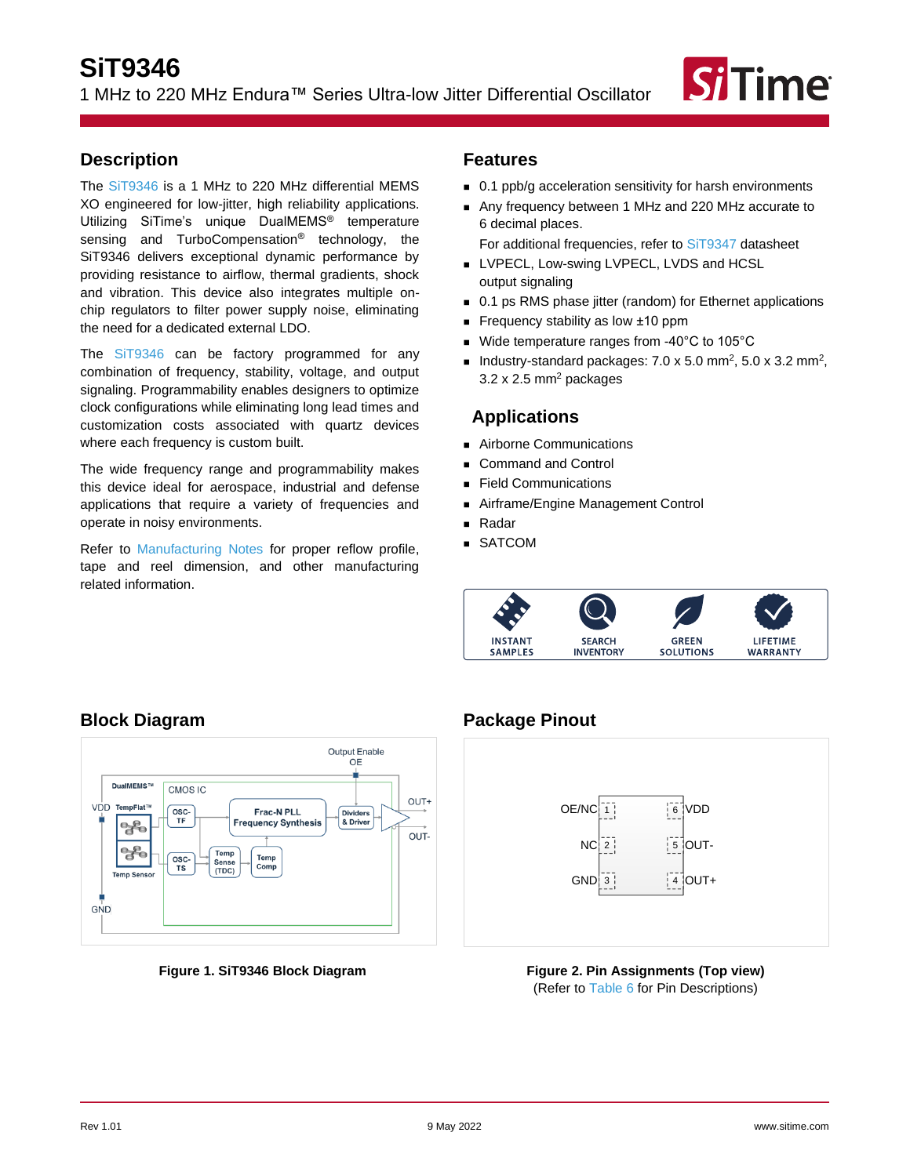# **SiT9346**

1 MHz to 220 MHz Endura™ Series Ultra-low Jitter Differential Oscillator



### <span id="page-0-0"></span>**Description**

The [SiT9346](https://www.sitime.com/products/lvpecl-lvds-hcsl-ruggedized-oscillators/sit9346) is a 1 MHz to 220 MHz differential MEMS XO engineered for low-jitter, high reliability applications. Utilizing SiTime's unique DualMEMS® temperature sensing and TurboCompensation® technology, the SiT9346 delivers exceptional dynamic performance by providing resistance to airflow, thermal gradients, shock and vibration. This device also integrates multiple onchip regulators to filter power supply noise, eliminating the need for a dedicated external LDO.

The [SiT9346](https://www.sitime.com/products/lvpecl-lvds-hcsl-ruggedized-oscillators/sit9346) can be factory programmed for any combination of frequency, stability, voltage, and output signaling. Programmability enables designers to optimize clock configurations while eliminating long lead times and customization costs associated with quartz devices where each frequency is custom built.

The wide frequency range and programmability makes this device ideal for aerospace, industrial and defense applications that require a variety of frequencies and operate in noisy environments.

Refer to [Manufacturing Notes](https://www.sitime.com/sites/default/files/gated/Manufacturing-Notes-for-SiTime-Products.pdf) for proper reflow profile, tape and reel dimension, and other manufacturing related information.

### <span id="page-0-1"></span>**Features**

- 0.1 ppb/g acceleration sensitivity for harsh environments
- Any frequency between 1 MHz and 220 MHz accurate to 6 decimal places.

For additional frequencies, refer to [SiT9347](https://www.sitime.com/products/lvpecl-lvds-hcsl-ruggedized-oscillators/sit9347) datasheet

- LVPECL, Low-swing LVPECL, LVDS and HCSL output signaling
- 0.1 ps RMS phase jitter (random) for Ethernet applications
- Frequency stability as low ±10 ppm
- Wide temperature ranges from -40°C to 105°C
- Industry-standard packages:  $7.0 \times 5.0 \text{ mm}^2$ ,  $5.0 \times 3.2 \text{ mm}^2$ ,  $3.2 \times 2.5$  mm<sup>2</sup> packages

### <span id="page-0-2"></span>**Applications**

- Airborne Communications
- Command and Control
- Field Communications
- Airframe/Engine Management Control
- <sup>◼</sup> Radar
- SATCOM



### <span id="page-0-3"></span>**Block Diagram**



#### **Figure 1. SiT9346 Block Diagram**

# <span id="page-0-4"></span>**Package Pinout**



### **Figure 2. Pin Assignments (Top view)** (Refer to [Table 6](#page-6-0) for Pin Descriptions)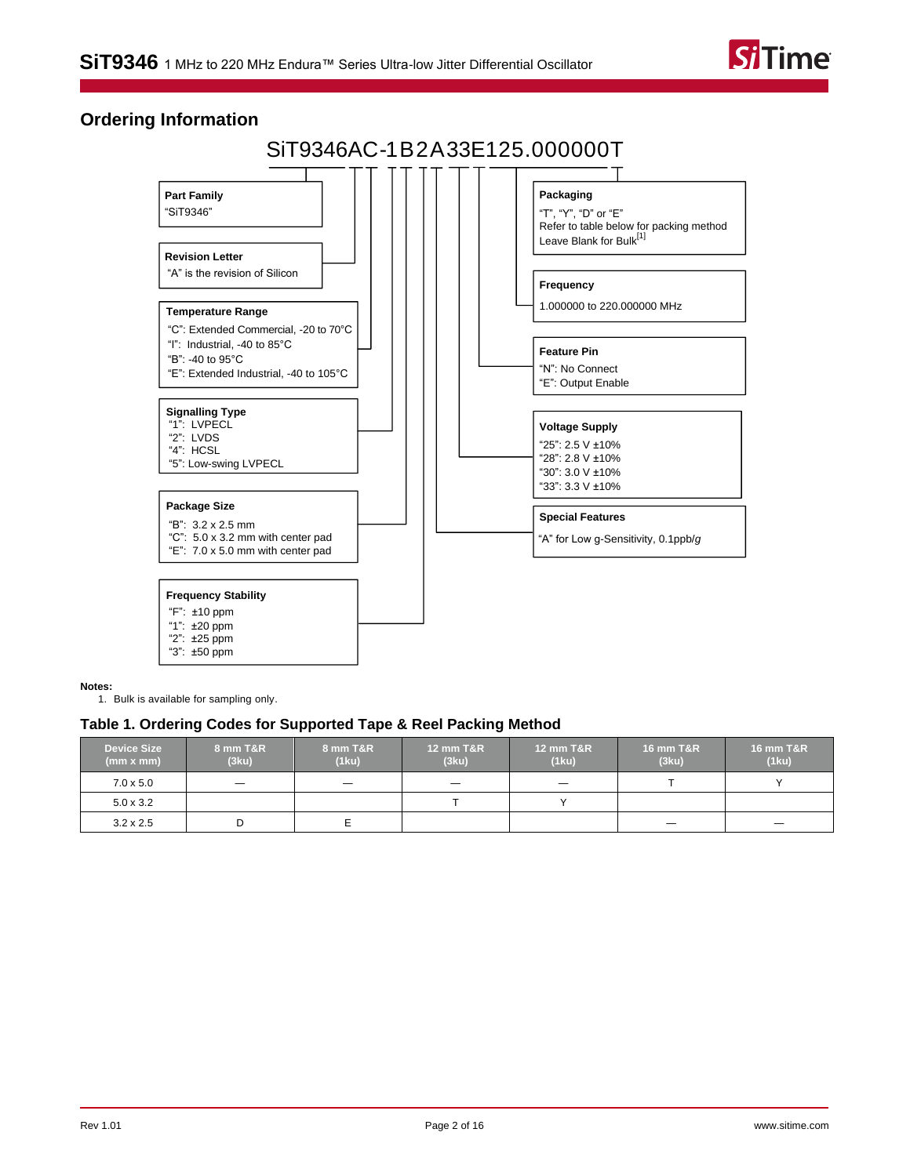

### <span id="page-1-1"></span>**Ordering Information**

# SiT9346AC-1B2A33E125.000000T



**Notes:**

<span id="page-1-0"></span>1. Bulk is available for sampling only.

#### **Table 1. Ordering Codes for Supported Tape & Reel Packing Method**

| <b>Device Size</b><br>(mm x mm) | 8 mm T&R<br>(3ku)        | <b>8 mm T&amp;R</b><br>(1ku) | <b>12 mm T&amp;R</b><br>(3ku) | <b>12 mm T&amp;R</b><br>(1ku)  | <b>16 mm T&amp;R</b><br>(3ku) | <b>16 mm T&amp;R</b><br>(1ku) |
|---------------------------------|--------------------------|------------------------------|-------------------------------|--------------------------------|-------------------------------|-------------------------------|
| $7.0 \times 5.0$                | $\overline{\phantom{0}}$ |                              | $\qquad \qquad -$             | $\qquad \qquad \longleftarrow$ |                               |                               |
| $5.0 \times 3.2$                |                          |                              |                               |                                |                               |                               |
| $3.2 \times 2.5$                | D                        |                              |                               |                                |                               | $\overline{\phantom{0}}$      |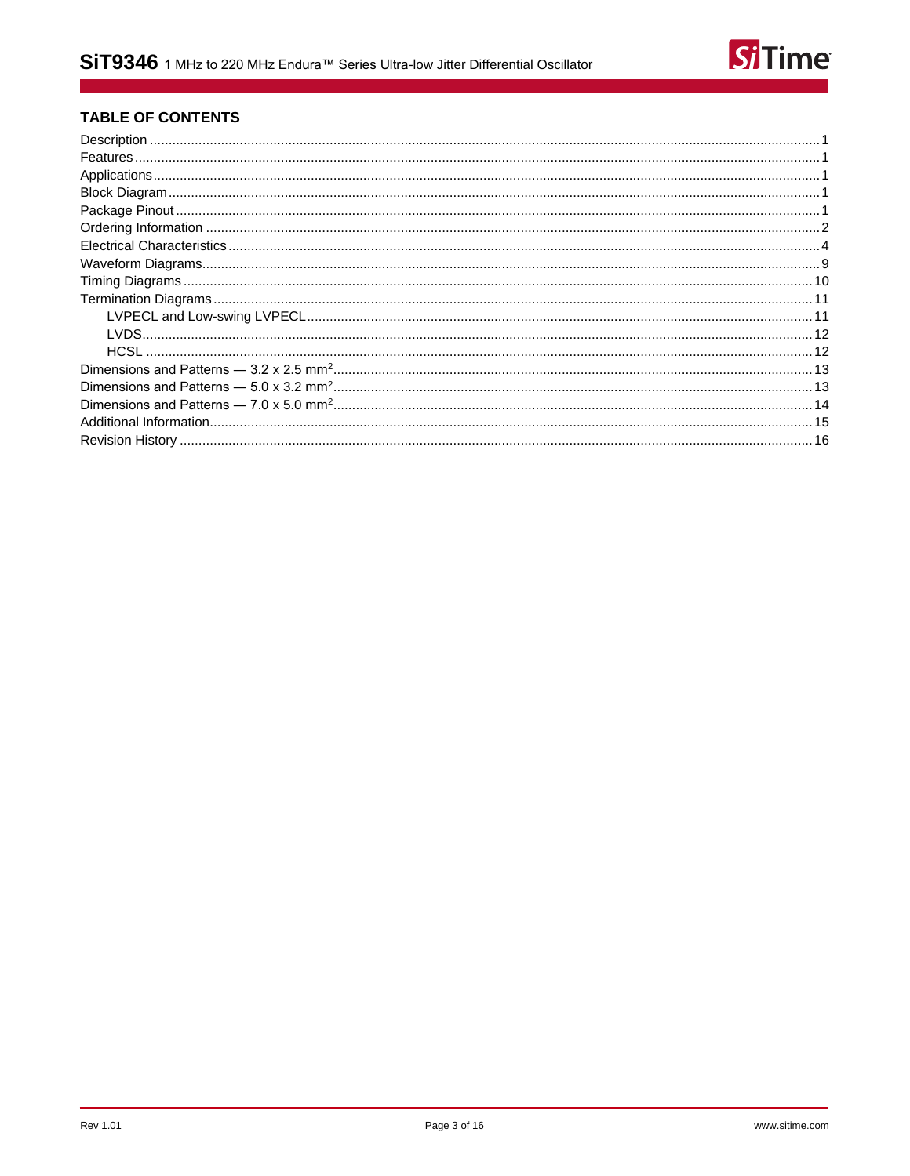

### **TABLE OF CONTENTS**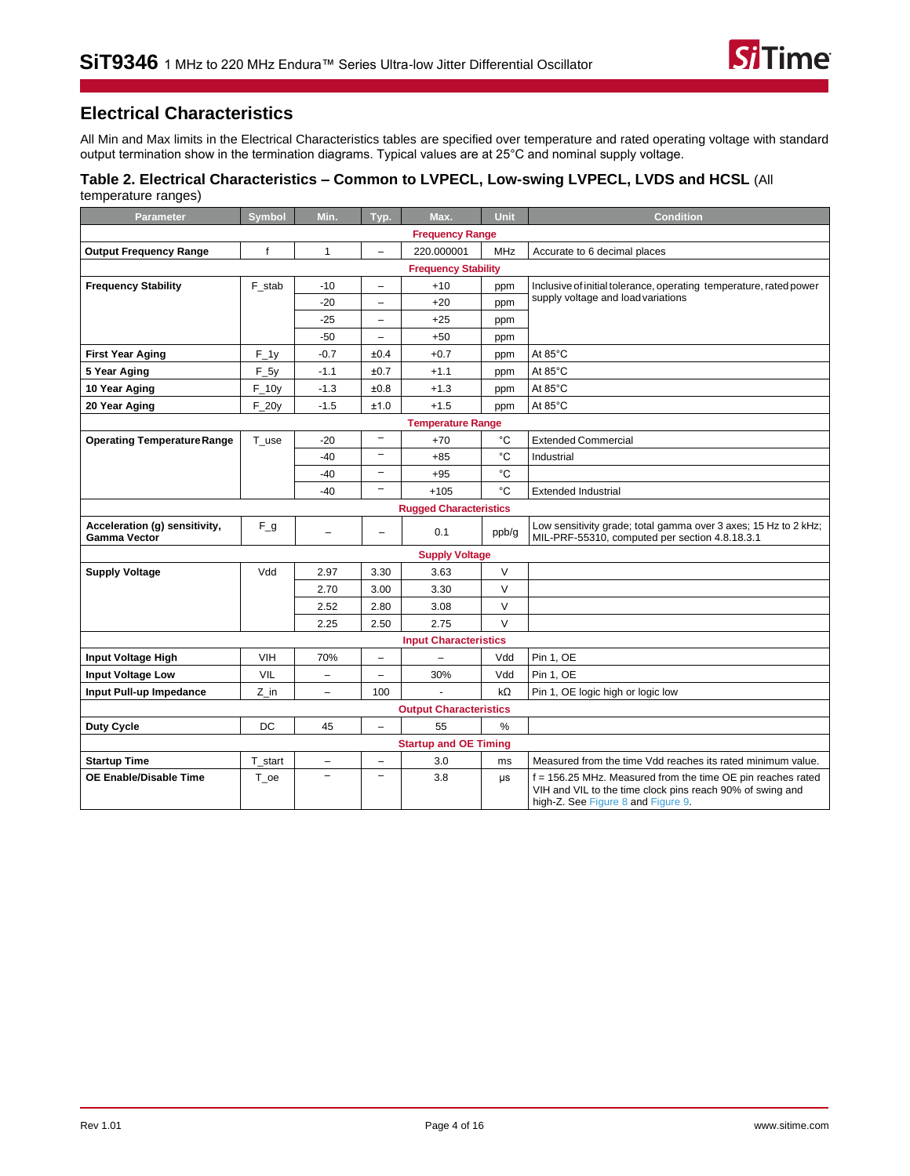## <span id="page-3-0"></span>**Electrical Characteristics**

All Min and Max limits in the Electrical Characteristics tables are specified over temperature and rated operating voltage with standard output termination show in the termination diagrams. Typical values are at 25°C and nominal supply voltage.

#### <span id="page-3-1"></span>**Table 2. Electrical Characteristics – Common to LVPECL, Low-swing LVPECL, LVDS and HCSL** (All temperature ranges)

| <b>Parameter</b>                              | <b>Symbol</b>                                                    | Min.              | Typ.                     | Max.                          | <b>Unit</b>  | <b>Condition</b>                                                                                                                                               |
|-----------------------------------------------|------------------------------------------------------------------|-------------------|--------------------------|-------------------------------|--------------|----------------------------------------------------------------------------------------------------------------------------------------------------------------|
|                                               |                                                                  |                   |                          | <b>Frequency Range</b>        |              |                                                                                                                                                                |
| <b>Output Frequency Range</b>                 | $\mathsf{f}$                                                     | $\mathbf{1}$      | $\equiv$                 | 220.000001                    | <b>MHz</b>   | Accurate to 6 decimal places                                                                                                                                   |
|                                               |                                                                  |                   |                          | <b>Frequency Stability</b>    |              |                                                                                                                                                                |
| <b>Frequency Stability</b>                    | F_stab                                                           | $-10$             | -                        | $+10$                         | ppm          | Inclusive of initial tolerance, operating temperature, rated power                                                                                             |
|                                               | supply voltage and load variations<br>$-20$<br>$+20$<br>ppm<br>- |                   |                          |                               |              |                                                                                                                                                                |
|                                               |                                                                  | $-25$             | -                        | $+25$                         | ppm          |                                                                                                                                                                |
|                                               |                                                                  | $-50$             | $\overline{\phantom{0}}$ | $+50$                         | ppm          |                                                                                                                                                                |
| <b>First Year Aging</b>                       | $F_1$                                                            | $-0.7$            | ±0.4                     | $+0.7$                        | ppm          | At 85°C                                                                                                                                                        |
| 5 Year Aging                                  | $F_5y$                                                           | $-1.1$            | ±0.7                     | $+1.1$                        | ppm          | At 85°C                                                                                                                                                        |
| 10 Year Aging                                 | $F_1$ 10y                                                        | $-1.3$            | ±0.8                     | $+1.3$                        | ppm          | At 85°C                                                                                                                                                        |
| 20 Year Aging                                 | $F_2$                                                            | $-1.5$            | ±1.0                     | $+1.5$                        | ppm          | At 85°C                                                                                                                                                        |
|                                               |                                                                  |                   |                          | <b>Temperature Range</b>      |              |                                                                                                                                                                |
| <b>Operating Temperature Range</b>            | T_use                                                            | $-20$             | $\overline{\phantom{0}}$ | $+70$                         | °C           | <b>Extended Commercial</b>                                                                                                                                     |
|                                               |                                                                  | $-40$             | -                        | $+85$                         | $^{\circ}$ C | Industrial                                                                                                                                                     |
|                                               |                                                                  | $-40$             | $\overline{\phantom{0}}$ | $+95$                         | °C           |                                                                                                                                                                |
|                                               |                                                                  | $-40$             | $\overline{\phantom{0}}$ | $+105$                        | °C           | <b>Extended Industrial</b>                                                                                                                                     |
|                                               |                                                                  |                   |                          | <b>Rugged Characteristics</b> |              |                                                                                                                                                                |
| Acceleration (g) sensitivity,<br>Gamma Vector | $F_g$                                                            | $\equiv$          | $\equiv$                 | 0.1                           | ppb/g        | Low sensitivity grade; total gamma over 3 axes; 15 Hz to 2 kHz;<br>MIL-PRF-55310, computed per section 4.8.18.3.1                                              |
|                                               |                                                                  |                   |                          | <b>Supply Voltage</b>         |              |                                                                                                                                                                |
| <b>Supply Voltage</b>                         | Vdd                                                              | 2.97              | 3.30                     | 3.63                          | V            |                                                                                                                                                                |
|                                               |                                                                  | 2.70              | 3.00                     | 3.30                          | $\vee$       |                                                                                                                                                                |
|                                               |                                                                  | 2.52              | 2.80                     | 3.08                          | V            |                                                                                                                                                                |
|                                               |                                                                  | 2.25              | 2.50                     | 2.75                          | $\vee$       |                                                                                                                                                                |
|                                               |                                                                  |                   |                          | <b>Input Characteristics</b>  |              |                                                                                                                                                                |
| Input Voltage High                            | <b>VIH</b>                                                       | 70%               | $\overline{a}$           | $\overline{\phantom{0}}$      | Vdd          | Pin 1, OE                                                                                                                                                      |
| <b>Input Voltage Low</b>                      | <b>VIL</b>                                                       | $\qquad \qquad -$ | $\qquad \qquad -$        | 30%                           | Vdd          | Pin 1, OE                                                                                                                                                      |
| Input Pull-up Impedance                       | Z in                                                             | $\qquad \qquad -$ | 100                      |                               | $k\Omega$    | Pin 1, OE logic high or logic low                                                                                                                              |
|                                               |                                                                  |                   |                          | <b>Output Characteristics</b> |              |                                                                                                                                                                |
| <b>Duty Cycle</b>                             | DC                                                               | 45                | $\equiv$                 | 55                            | %            |                                                                                                                                                                |
|                                               |                                                                  |                   |                          | <b>Startup and OE Timing</b>  |              |                                                                                                                                                                |
| <b>Startup Time</b>                           | T_start                                                          | $\qquad \qquad -$ | -                        | 3.0                           | ms           | Measured from the time Vdd reaches its rated minimum value.                                                                                                    |
| OE Enable/Disable Time                        | T oe                                                             | $\overline{a}$    | $\overline{\phantom{0}}$ | 3.8                           | μs           | f = 156.25 MHz. Measured from the time OE pin reaches rated<br>VIH and VIL to the time clock pins reach 90% of swing and<br>high-Z. See Figure 8 and Figure 9. |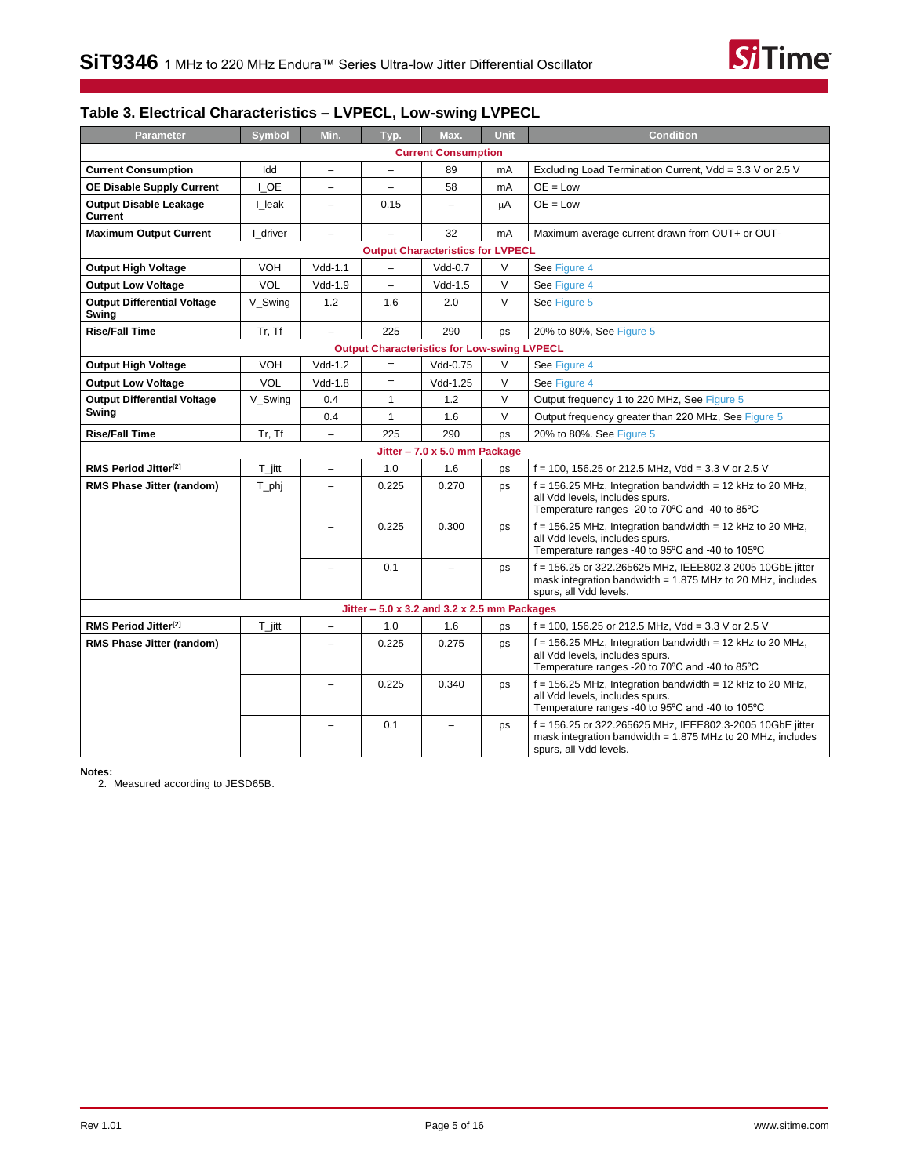

## **Table 3. Electrical Characteristics – LVPECL, Low-swing LVPECL**

| Parameter                                   | Symbol               | Min.                     | Typ.                     | Max.                                               | <b>Unit</b> | <b>Condition</b>                                                                                                                                    |  |
|---------------------------------------------|----------------------|--------------------------|--------------------------|----------------------------------------------------|-------------|-----------------------------------------------------------------------------------------------------------------------------------------------------|--|
| <b>Current Consumption</b>                  |                      |                          |                          |                                                    |             |                                                                                                                                                     |  |
| <b>Current Consumption</b>                  | Idd                  | $\qquad \qquad -$        | $\overline{\phantom{0}}$ | 89                                                 | mA          | Excluding Load Termination Current, Vdd = 3.3 V or 2.5 V                                                                                            |  |
| <b>OE Disable Supply Current</b>            | I OE                 | $\overline{\phantom{0}}$ | $\qquad \qquad -$        | 58                                                 | mA          | $OE = Low$                                                                                                                                          |  |
| <b>Output Disable Leakage</b><br>Current    | I leak               | $\qquad \qquad -$        | 0.15                     |                                                    | μA          | $OE = Low$                                                                                                                                          |  |
| <b>Maximum Output Current</b>               | I driver             | $\overline{\phantom{0}}$ |                          | 32                                                 | mA          | Maximum average current drawn from OUT+ or OUT-                                                                                                     |  |
|                                             |                      |                          |                          | <b>Output Characteristics for LVPECL</b>           |             |                                                                                                                                                     |  |
| <b>Output High Voltage</b>                  | <b>VOH</b>           | $Vdd-1.1$                |                          | $Vdd-0.7$                                          | $\vee$      | See Figure 4                                                                                                                                        |  |
| <b>Output Low Voltage</b>                   | VOL                  | $Vdd-1.9$                | $\equiv$                 | $Vdd-1.5$                                          | $\vee$      | See Figure 4                                                                                                                                        |  |
| <b>Output Differential Voltage</b><br>Swing | V_Swing              | 1.2                      | 1.6                      | 2.0                                                | $\vee$      | See Figure 5                                                                                                                                        |  |
| <b>Rise/Fall Time</b>                       | Tr, Tf               | $\overline{\phantom{m}}$ | 225                      | 290                                                | ps          | 20% to 80%, See Figure 5                                                                                                                            |  |
|                                             |                      |                          |                          | <b>Output Characteristics for Low-swing LVPECL</b> |             |                                                                                                                                                     |  |
| <b>Output High Voltage</b>                  | VOH                  | $Vdd-1.2$                | $\qquad \qquad -$        | Vdd-0.75                                           | $\vee$      | See Figure 4                                                                                                                                        |  |
| <b>Output Low Voltage</b>                   | <b>VOL</b>           | $Vdd-1.8$                | $\qquad \qquad -$        | Vdd-1.25                                           | $\vee$      | See Figure 4                                                                                                                                        |  |
| <b>Output Differential Voltage</b>          | V Swing              | 0.4                      | $\mathbf{1}$             | 1.2                                                | $\vee$      | Output frequency 1 to 220 MHz, See Figure 5                                                                                                         |  |
| Swing                                       |                      | 0.4                      | $\mathbf{1}$             | 1.6                                                | $\vee$      | Output frequency greater than 220 MHz, See Figure 5                                                                                                 |  |
| <b>Rise/Fall Time</b>                       | Tr, Tf               | $\overline{\phantom{a}}$ | 225                      | 290                                                | ps          | 20% to 80%. See Figure 5                                                                                                                            |  |
|                                             |                      |                          |                          | Jitter - 7.0 x 5.0 mm Package                      |             |                                                                                                                                                     |  |
| RMS Period Jitter <sup>[2]</sup>            | $T_{\parallel}$ jitt | $\overline{\phantom{0}}$ | 1.0                      | 1.6                                                | ps          | $f = 100$ , 156.25 or 212.5 MHz, Vdd = 3.3 V or 2.5 V                                                                                               |  |
| RMS Phase Jitter (random)                   | T_phj                | $\equiv$                 | 0.225                    | 0.270                                              | ps          | $f = 156.25$ MHz, Integration bandwidth = 12 kHz to 20 MHz,<br>all Vdd levels, includes spurs.<br>Temperature ranges -20 to 70°C and -40 to 85°C    |  |
|                                             |                      | $\overline{\phantom{0}}$ | 0.225                    | 0.300                                              | ps          | $f = 156.25$ MHz, Integration bandwidth = 12 kHz to 20 MHz,<br>all Vdd levels, includes spurs.<br>Temperature ranges -40 to 95°C and -40 to 105°C   |  |
|                                             |                      | $\overline{\phantom{0}}$ | 0.1                      | $\overline{a}$                                     | ps          | f = 156.25 or 322.265625 MHz, IEEE802.3-2005 10GbE jitter<br>mask integration bandwidth = $1.875$ MHz to 20 MHz, includes<br>spurs, all Vdd levels. |  |
|                                             |                      |                          |                          | Jitter $-5.0$ x 3.2 and 3.2 x 2.5 mm Packages      |             |                                                                                                                                                     |  |
| RMS Period Jitter <sup>[2]</sup>            | $T_{\parallel}$ itt  | $\qquad \qquad -$        | 1.0                      | 1.6                                                | ps          | f = 100, 156.25 or 212.5 MHz, Vdd = 3.3 V or 2.5 V                                                                                                  |  |
| <b>RMS Phase Jitter (random)</b>            |                      | ۳                        | 0.225                    | 0.275                                              | ps          | $f = 156.25$ MHz, Integration bandwidth = 12 kHz to 20 MHz,<br>all Vdd levels, includes spurs.<br>Temperature ranges -20 to 70°C and -40 to 85°C    |  |
|                                             |                      | $\overline{\phantom{0}}$ | 0.225                    | 0.340                                              | ps          | $f = 156.25$ MHz, Integration bandwidth = 12 kHz to 20 MHz,<br>all Vdd levels, includes spurs.<br>Temperature ranges -40 to 95°C and -40 to 105°C   |  |
|                                             |                      |                          | 0.1                      |                                                    | ps          | f = 156.25 or 322.265625 MHz, IEEE802.3-2005 10GbE jitter<br>mask integration bandwidth = $1.875$ MHz to 20 MHz, includes<br>spurs, all Vdd levels. |  |

<span id="page-4-0"></span>**Notes:**

2. Measured according to JESD65B.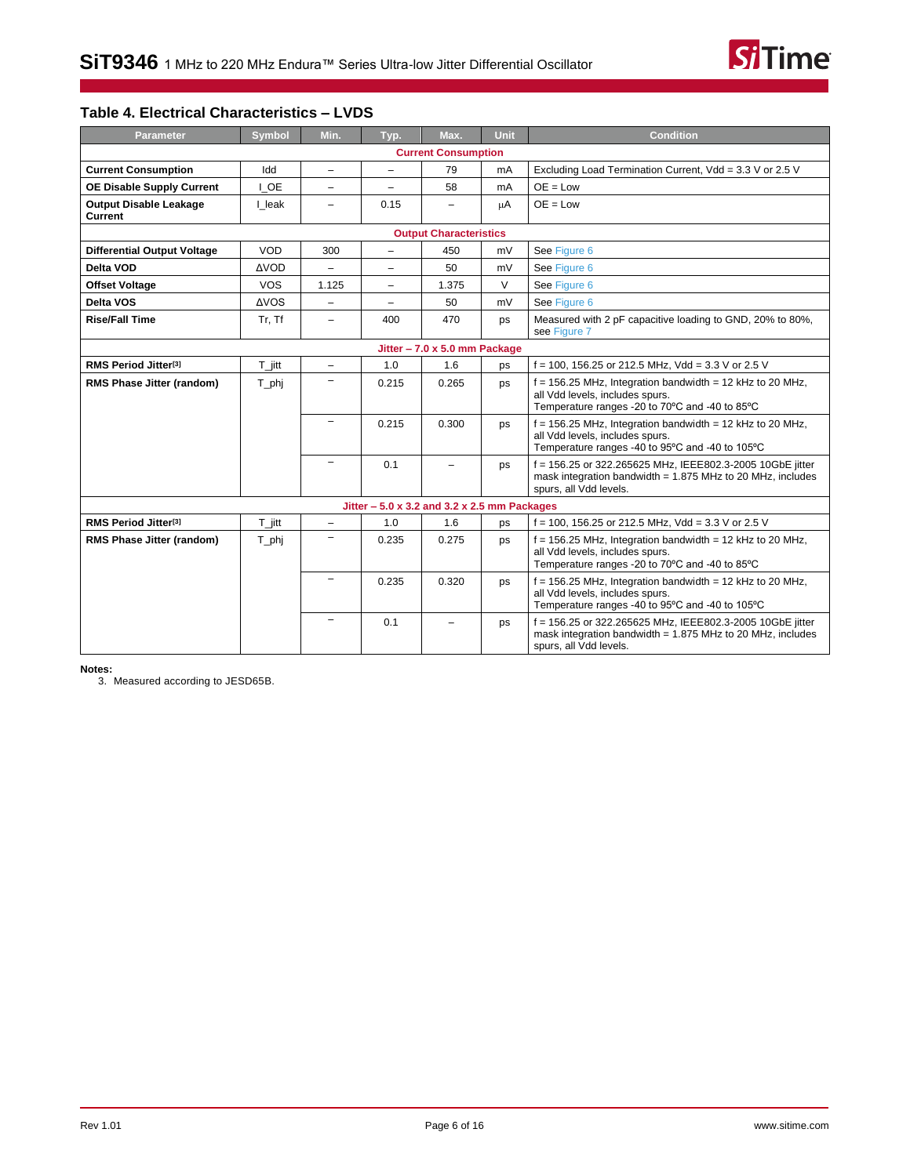

### **Table 4. Electrical Characteristics – LVDS**

| <b>Parameter</b>                                                                                      | <b>Symbol</b>        | Min.                                                     | Typ.                                          | Max.                          | Unit   | <b>Condition</b>                                                                                                                                    |  |
|-------------------------------------------------------------------------------------------------------|----------------------|----------------------------------------------------------|-----------------------------------------------|-------------------------------|--------|-----------------------------------------------------------------------------------------------------------------------------------------------------|--|
|                                                                                                       |                      |                                                          |                                               | <b>Current Consumption</b>    |        |                                                                                                                                                     |  |
| Idd<br><b>Current Consumption</b><br>79<br>mA<br>$\overline{\phantom{0}}$<br>$\overline{\phantom{0}}$ |                      | Excluding Load Termination Current, Vdd = 3.3 V or 2.5 V |                                               |                               |        |                                                                                                                                                     |  |
| <b>OE Disable Supply Current</b>                                                                      | I OE                 |                                                          |                                               | 58                            | mA     | $OE = Low$                                                                                                                                          |  |
| <b>Output Disable Leakage</b><br>Current                                                              | I leak               | $\overline{\phantom{0}}$                                 | 0.15                                          | $\overline{\phantom{0}}$      | μA     | $OE = Low$                                                                                                                                          |  |
|                                                                                                       |                      |                                                          |                                               | <b>Output Characteristics</b> |        |                                                                                                                                                     |  |
| <b>Differential Output Voltage</b>                                                                    | VOD                  | 300                                                      | $\overline{\phantom{0}}$                      | 450                           | mV     | See Figure 6                                                                                                                                        |  |
| Delta VOD                                                                                             | <b>AVOD</b>          | $\overline{\phantom{0}}$                                 | $\overline{\phantom{0}}$                      | 50                            | mV     | See Figure 6                                                                                                                                        |  |
| <b>Offset Voltage</b>                                                                                 | <b>VOS</b>           | 1.125                                                    | $\overline{a}$                                | 1.375                         | $\vee$ | See Figure 6                                                                                                                                        |  |
| Delta VOS                                                                                             | <b>AVOS</b>          | -                                                        | -                                             | 50                            | mV     | See Figure 6                                                                                                                                        |  |
| <b>Rise/Fall Time</b>                                                                                 | Tr, Tf               | $\equiv$                                                 | 400                                           | 470                           | ps     | Measured with 2 pF capacitive loading to GND, 20% to 80%,<br>see Figure 7                                                                           |  |
| Jitter - 7.0 x 5.0 mm Package                                                                         |                      |                                                          |                                               |                               |        |                                                                                                                                                     |  |
| RMS Period Jitter <sup>[3]</sup>                                                                      | $T_{\parallel}$ jitt | $\qquad \qquad -$                                        | 1.0                                           | 1.6                           | ps     | $f = 100$ , 156.25 or 212.5 MHz, Vdd = 3.3 V or 2.5 V                                                                                               |  |
| RMS Phase Jitter (random)                                                                             | T_phj                |                                                          | 0.215                                         | 0.265                         | ps     | $f = 156.25$ MHz, Integration bandwidth = 12 kHz to 20 MHz,<br>all Vdd levels, includes spurs.<br>Temperature ranges -20 to 70°C and -40 to 85°C    |  |
|                                                                                                       |                      |                                                          | 0.215                                         | 0.300                         | ps     | $f = 156.25$ MHz, Integration bandwidth = 12 kHz to 20 MHz,<br>all Vdd levels, includes spurs.<br>Temperature ranges -40 to 95°C and -40 to 105°C   |  |
|                                                                                                       |                      |                                                          | 0.1                                           |                               | ps     | f = 156.25 or 322.265625 MHz, IEEE802.3-2005 10GbE jitter<br>mask integration bandwidth = $1.875$ MHz to 20 MHz, includes<br>spurs, all Vdd levels. |  |
|                                                                                                       |                      |                                                          | Jitter $-5.0$ x 3.2 and 3.2 x 2.5 mm Packages |                               |        |                                                                                                                                                     |  |
| RMS Period Jitter <sup>[3]</sup>                                                                      | $T_{\parallel}$ itt  | $\overline{\phantom{0}}$                                 | 1.0                                           | 1.6                           | ps     | f = 100, 156.25 or 212.5 MHz, Vdd = 3.3 V or 2.5 V                                                                                                  |  |
| <b>RMS Phase Jitter (random)</b>                                                                      | T_phj                | $\equiv$                                                 | 0.235                                         | 0.275                         | ps     | $f = 156.25$ MHz, Integration bandwidth = 12 kHz to 20 MHz,<br>all Vdd levels, includes spurs.<br>Temperature ranges -20 to 70°C and -40 to 85°C    |  |
|                                                                                                       |                      |                                                          | 0.235                                         | 0.320                         | ps     | $f = 156.25$ MHz, Integration bandwidth = 12 kHz to 20 MHz,<br>all Vdd levels, includes spurs.<br>Temperature ranges -40 to 95°C and -40 to 105°C   |  |
|                                                                                                       |                      |                                                          | 0.1                                           | $\equiv$                      | ps     | f = 156.25 or 322.265625 MHz, IEEE802.3-2005 10GbE jitter<br>mask integration bandwidth = $1.875$ MHz to 20 MHz, includes<br>spurs, all Vdd levels. |  |

#### <span id="page-5-0"></span>**Notes:**

3. Measured according to JESD65B.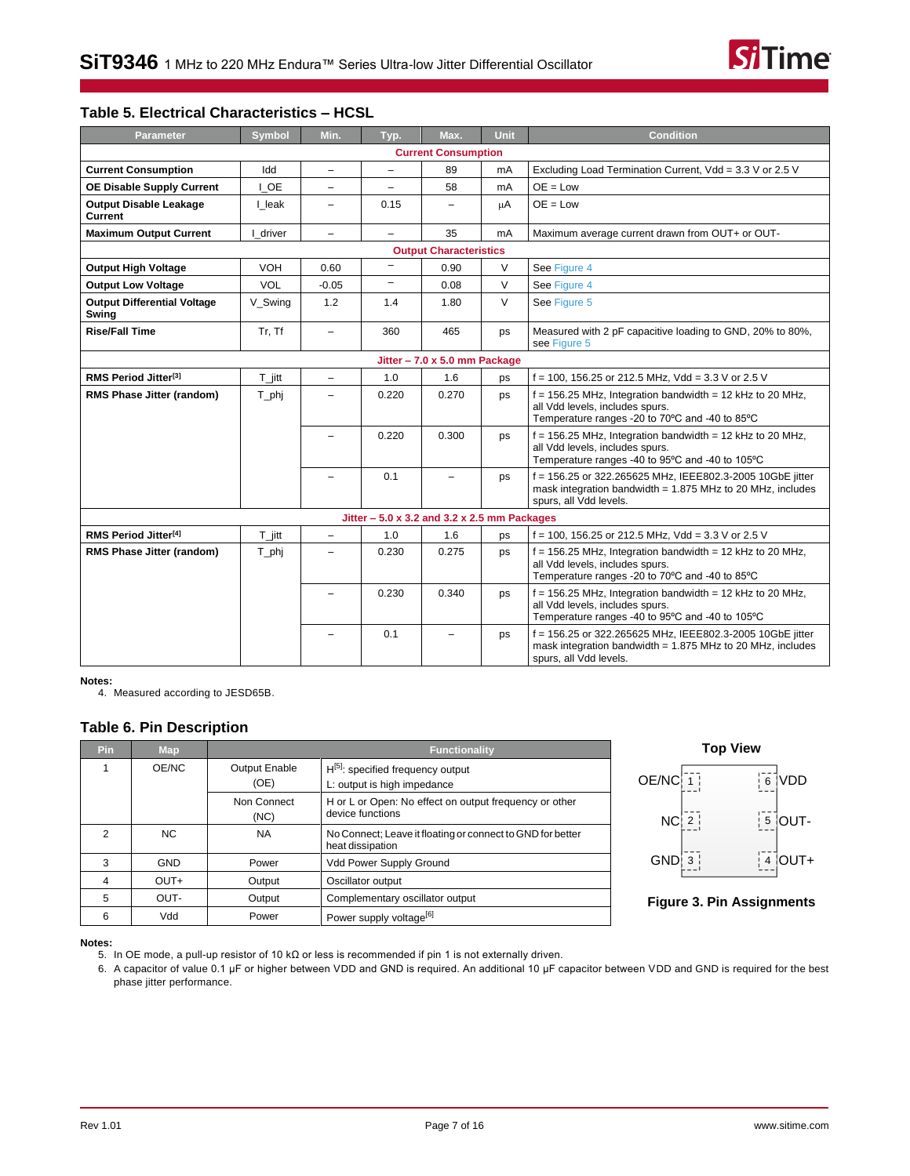

#### **Table 5. Electrical Characteristics – HCSL**

| <b>Parameter</b>                            | <b>Symbol</b>        | Min.                                                         | Typ.                                          | Max.                                                      | Unit   | <b>Condition</b>                                                                                                                                    |  |
|---------------------------------------------|----------------------|--------------------------------------------------------------|-----------------------------------------------|-----------------------------------------------------------|--------|-----------------------------------------------------------------------------------------------------------------------------------------------------|--|
|                                             |                      |                                                              |                                               | <b>Current Consumption</b>                                |        |                                                                                                                                                     |  |
| <b>Current Consumption</b>                  | Idd                  | $\overline{\phantom{a}}$                                     | $\qquad \qquad -$                             | 89                                                        | mA     | Excluding Load Termination Current, Vdd = 3.3 V or 2.5 V                                                                                            |  |
| <b>OE Disable Supply Current</b>            | I OE                 | $\overline{a}$                                               | $\equiv$                                      | 58                                                        | mA     | $OE = Low$                                                                                                                                          |  |
| <b>Output Disable Leakage</b><br>Current    | I leak               | $\overline{\phantom{0}}$                                     | 0.15                                          | ▃                                                         | μA     | $OE = Low$                                                                                                                                          |  |
| <b>Maximum Output Current</b>               | driver               | $\overline{\phantom{0}}$                                     | $\overline{\phantom{0}}$                      | 35                                                        | mA     | Maximum average current drawn from OUT+ or OUT-                                                                                                     |  |
|                                             |                      |                                                              |                                               | <b>Output Characteristics</b>                             |        |                                                                                                                                                     |  |
| <b>Output High Voltage</b>                  | <b>VOH</b>           | 0.60                                                         | $\qquad \qquad -$                             | 0.90                                                      | V      | See Figure 4                                                                                                                                        |  |
| <b>Output Low Voltage</b>                   | <b>VOL</b>           | $-0.05$                                                      | $\overline{\phantom{0}}$                      | 0.08                                                      | $\vee$ | See Figure 4                                                                                                                                        |  |
| <b>Output Differential Voltage</b><br>Swing | V Swing              | 1.2                                                          | 1.4                                           | 1.80                                                      | $\vee$ | See Figure 5                                                                                                                                        |  |
| <b>Rise/Fall Time</b>                       | Tr, Tf               | 360<br>465<br>$\overline{\phantom{a}}$<br>ps<br>see Figure 5 |                                               | Measured with 2 pF capacitive loading to GND, 20% to 80%, |        |                                                                                                                                                     |  |
| Jitter - 7.0 x 5.0 mm Package               |                      |                                                              |                                               |                                                           |        |                                                                                                                                                     |  |
| RMS Period Jitter <sup>[3]</sup>            | $T_{\parallel}$ jitt | $\overline{\phantom{0}}$                                     | 1.0                                           | 1.6                                                       | ps     | $f = 100$ , 156.25 or 212.5 MHz, Vdd = 3.3 V or 2.5 V                                                                                               |  |
| RMS Phase Jitter (random)                   | T_phj                | -                                                            | 0.220                                         | 0.270                                                     | ps     | $f = 156.25$ MHz, Integration bandwidth = 12 kHz to 20 MHz,<br>all Vdd levels, includes spurs.<br>Temperature ranges -20 to 70°C and -40 to 85°C    |  |
|                                             |                      |                                                              | 0.220                                         | 0.300                                                     | ps     | $f = 156.25$ MHz, Integration bandwidth = 12 kHz to 20 MHz,<br>all Vdd levels, includes spurs.<br>Temperature ranges -40 to 95°C and -40 to 105°C   |  |
|                                             |                      |                                                              | 0.1                                           | $\overline{\phantom{0}}$                                  | ps     | f = 156.25 or 322.265625 MHz, IEEE802.3-2005 10GbE jitter<br>mask integration bandwidth = $1.875$ MHz to 20 MHz, includes<br>spurs, all Vdd levels. |  |
|                                             |                      |                                                              | Jitter $-5.0$ x 3.2 and 3.2 x 2.5 mm Packages |                                                           |        |                                                                                                                                                     |  |
| RMS Period Jitter <sup>[4]</sup>            | $T_{\parallel}$ jitt | $\frac{1}{2}$                                                | 1.0                                           | 1.6                                                       | ps     | $f = 100$ , 156.25 or 212.5 MHz, Vdd = 3.3 V or 2.5 V                                                                                               |  |
| RMS Phase Jitter (random)                   | $T$ <sub>_phj</sub>  | $\overline{\phantom{0}}$                                     | 0.230                                         | 0.275                                                     | ps     | $f = 156.25$ MHz, Integration bandwidth = 12 kHz to 20 MHz,<br>all Vdd levels, includes spurs.<br>Temperature ranges -20 to 70°C and -40 to 85°C    |  |
|                                             |                      |                                                              | 0.230                                         | 0.340                                                     | ps     | $f = 156.25$ MHz, Integration bandwidth = 12 kHz to 20 MHz,<br>all Vdd levels, includes spurs.<br>Temperature ranges -40 to 95°C and -40 to 105°C   |  |
|                                             |                      | $\overline{\phantom{0}}$                                     | 0.1                                           | $\overline{\phantom{0}}$                                  | ps     | f = 156.25 or 322.265625 MHz, IEEE802.3-2005 10GbE jitter<br>mask integration bandwidth = $1.875$ MHz to 20 MHz, includes<br>spurs, all Vdd levels. |  |

<span id="page-6-1"></span>**Notes:**

4. Measured according to JESD65B.

### <span id="page-6-0"></span>**Table 6. Pin Description**

| <b>Pin</b> | <b>Map</b> | <b>Functionality</b>                                        |                                                                                |  |
|------------|------------|-------------------------------------------------------------|--------------------------------------------------------------------------------|--|
|            | OE/NC      | <b>Output Enable</b><br>$H[5]$ : specified frequency output |                                                                                |  |
|            |            | (OE)<br>L: output is high impedance                         |                                                                                |  |
|            |            | Non Connect<br>(NC)                                         | H or L or Open: No effect on output frequency or other<br>device functions     |  |
| 2          | NC.        | <b>NA</b>                                                   | No Connect; Leave it floating or connect to GND for better<br>heat dissipation |  |
| 3          | <b>GND</b> | Power                                                       | Vdd Power Supply Ground                                                        |  |
| 4          | $OUT+$     | Output                                                      | Oscillator output                                                              |  |
| 5          | OUT-       | Output                                                      | Complementary oscillator output                                                |  |
| 6          | Vdd        | Power                                                       | Power supply voltage <sup>[6]</sup>                                            |  |





<span id="page-6-2"></span>**Notes:**

5. In OE mode, a pull-up resistor of 10 kΩ or less is recommended if pin 1 is not externally driven.

<span id="page-6-3"></span>6. A capacitor of value 0.1 µF or higher between VDD and GND is required. An additional 10 µF capacitor between VDD and GND is required for the best phase jitter performance.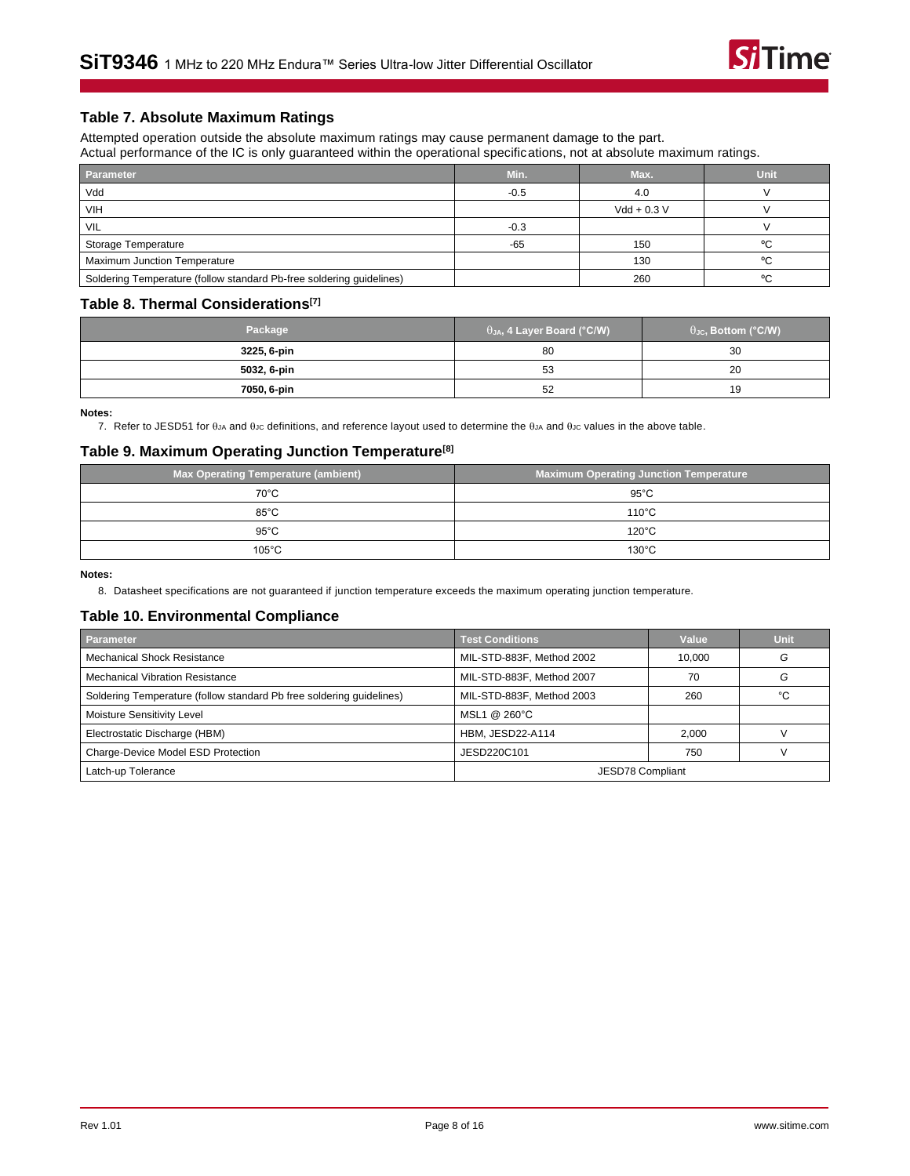### **Table 7. Absolute Maximum Ratings**

Attempted operation outside the absolute maximum ratings may cause permanent damage to the part. Actual performance of the IC is only guaranteed within the operational specifications, not at absolute maximum ratings.

| Parameter                                                            | Min.   | Max.          | Unit |
|----------------------------------------------------------------------|--------|---------------|------|
| Vdd                                                                  | $-0.5$ | 4.0           |      |
| <b>VIH</b>                                                           |        | $Vdd + 0.3 V$ |      |
| <b>VIL</b>                                                           | $-0.3$ |               |      |
| Storage Temperature                                                  | $-65$  | 150           | °C   |
| <b>Maximum Junction Temperature</b>                                  |        | 130           | °C   |
| Soldering Temperature (follow standard Pb-free soldering guidelines) |        | 260           | °C   |

#### <span id="page-7-2"></span>**Table 8. Thermal Considerations [\[7\]](#page-7-0)**

| Package     | $\theta_{JA}$ , 4 Layer Board (°C/W) | $\theta_{\text{JC}}$ , Bottom (°C/W) |
|-------------|--------------------------------------|--------------------------------------|
| 3225, 6-pin | 80                                   | 30                                   |
| 5032, 6-pin | 53                                   | 20                                   |
| 7050, 6-pin | 52                                   | 19                                   |

<span id="page-7-0"></span>**Notes:**

7. Refer to JESD51 for  $\theta_{JA}$  and  $\theta_{JC}$  definitions, and reference layout used to determine the  $\theta_{JA}$  and  $\theta_{JC}$  values in the above table.

#### **Table 9. Maximum Operating Junction Temperature[\[8\]](#page-7-1)**

| <b>Max Operating Temperature (ambient)</b> | <b>Maximum Operating Junction Temperature</b> |
|--------------------------------------------|-----------------------------------------------|
| $70^{\circ}$ C                             | $95^{\circ}$ C                                |
| $85^{\circ}$ C                             | $110^{\circ}$ C                               |
| $95^{\circ}$ C                             | $120^{\circ}$ C                               |
| $105^{\circ}$ C                            | $130^{\circ}$ C                               |

<span id="page-7-1"></span>**Notes:**

8. Datasheet specifications are not guaranteed if junction temperature exceeds the maximum operating junction temperature.

#### **Table 10. Environmental Compliance**

| <b>Parameter</b>                                                     | <b>Test Conditions</b>    | Value  | <b>Unit</b> |
|----------------------------------------------------------------------|---------------------------|--------|-------------|
| <b>Mechanical Shock Resistance</b>                                   | MIL-STD-883F, Method 2002 | 10.000 | G           |
| <b>Mechanical Vibration Resistance</b>                               | MIL-STD-883F, Method 2007 | 70     | G           |
| Soldering Temperature (follow standard Pb free soldering quidelines) | MIL-STD-883F, Method 2003 | 260    | °C          |
| Moisture Sensitivity Level                                           | MSL1 @ 260°C              |        |             |
| Electrostatic Discharge (HBM)                                        | <b>HBM. JESD22-A114</b>   | 2.000  |             |
| Charge-Device Model ESD Protection                                   | JESD220C101               | 750    |             |
| Latch-up Tolerance                                                   | JESD78 Compliant          |        |             |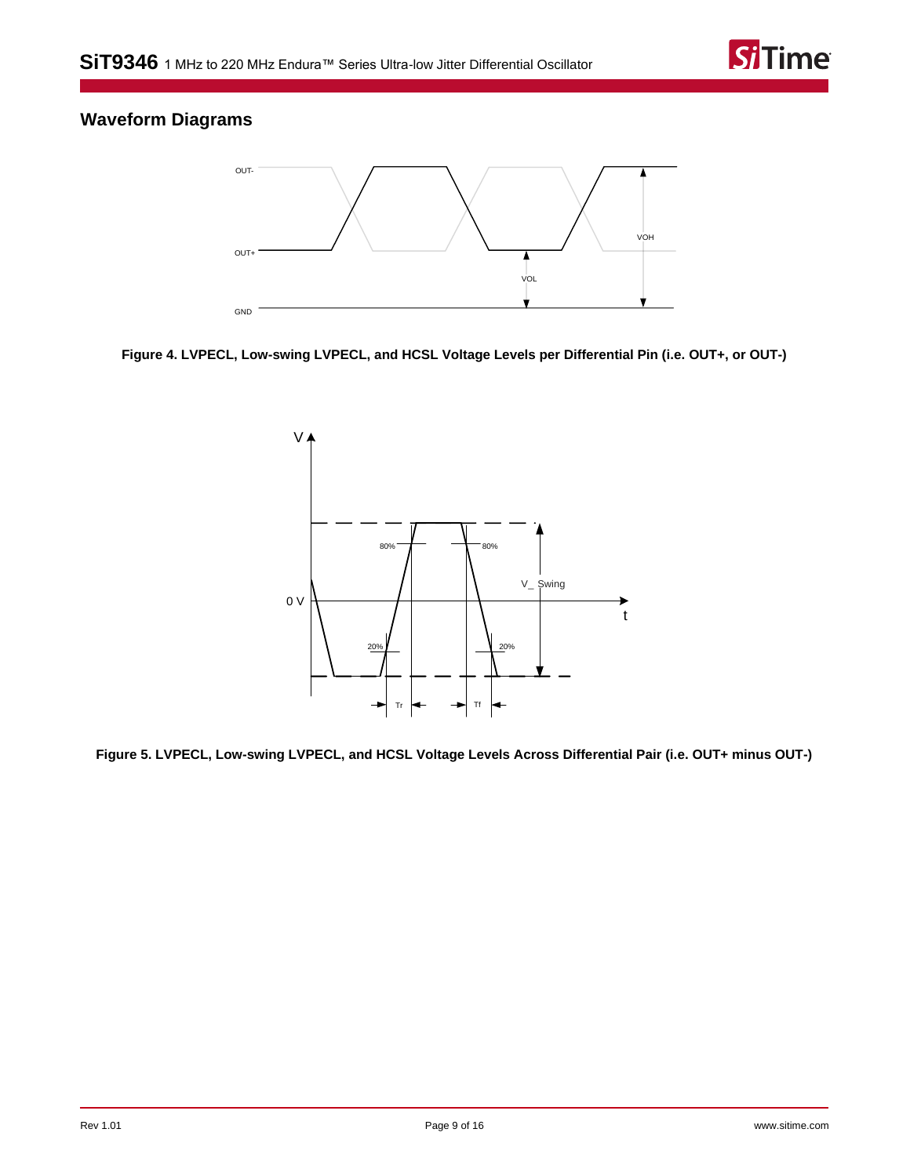

### <span id="page-8-0"></span>**Waveform Diagrams**



<span id="page-8-1"></span>**Figure 4. LVPECL, Low-swing LVPECL, and HCSL Voltage Levels per Differential Pin (i.e. OUT+, or OUT-)**



<span id="page-8-2"></span>**Figure 5. LVPECL, Low-swing LVPECL, and HCSL Voltage Levels Across Differential Pair (i.e. OUT+ minus OUT-)**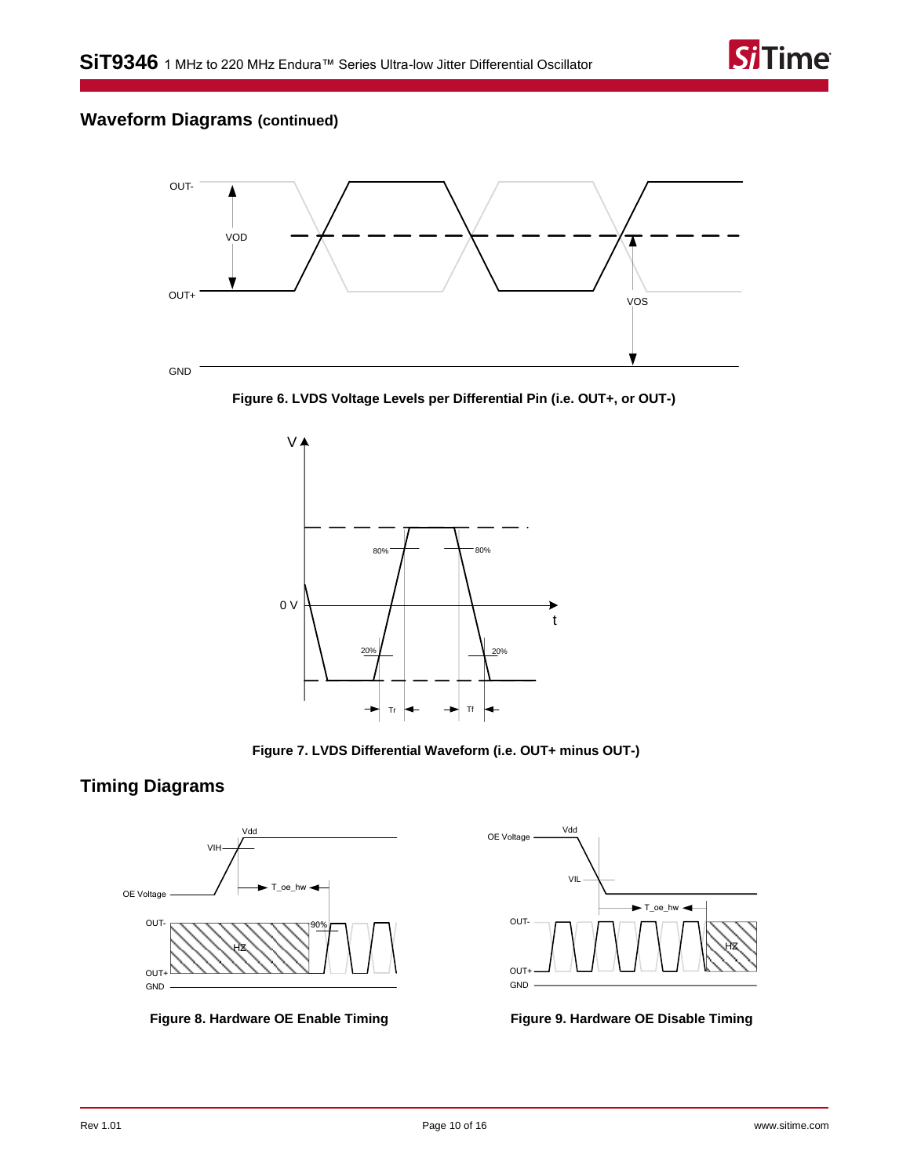## **Waveform Diagrams (continued)**



<span id="page-9-3"></span>



**Figure 7. LVDS Differential Waveform (i.e. OUT+ minus OUT-)**

### <span id="page-9-4"></span><span id="page-9-0"></span>**Timing Diagrams**



<span id="page-9-1"></span>**Figure 8. Hardware OE Enable Timing Figure 9. Hardware OE Disable Timing**



<span id="page-9-2"></span>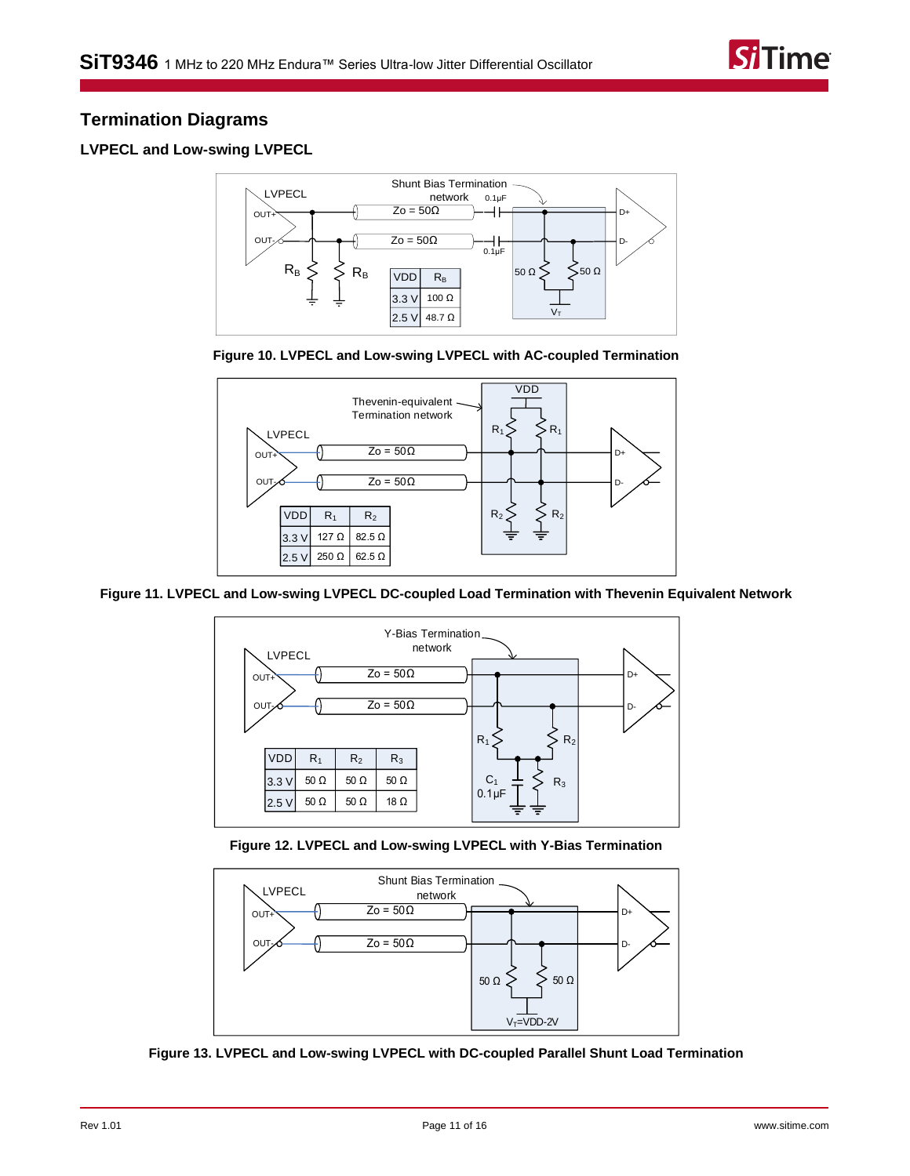

### <span id="page-10-0"></span>**Termination Diagrams**

### <span id="page-10-1"></span>**LVPECL and Low-swing LVPECL**







**Figure 11. LVPECL and Low-swing LVPECL DC-coupled Load Termination with Thevenin Equivalent Network**



**Figure 12. LVPECL and Low-swing LVPECL with Y-Bias Termination**



**Figure 13. LVPECL and Low-swing LVPECL with DC-coupled Parallel Shunt Load Termination**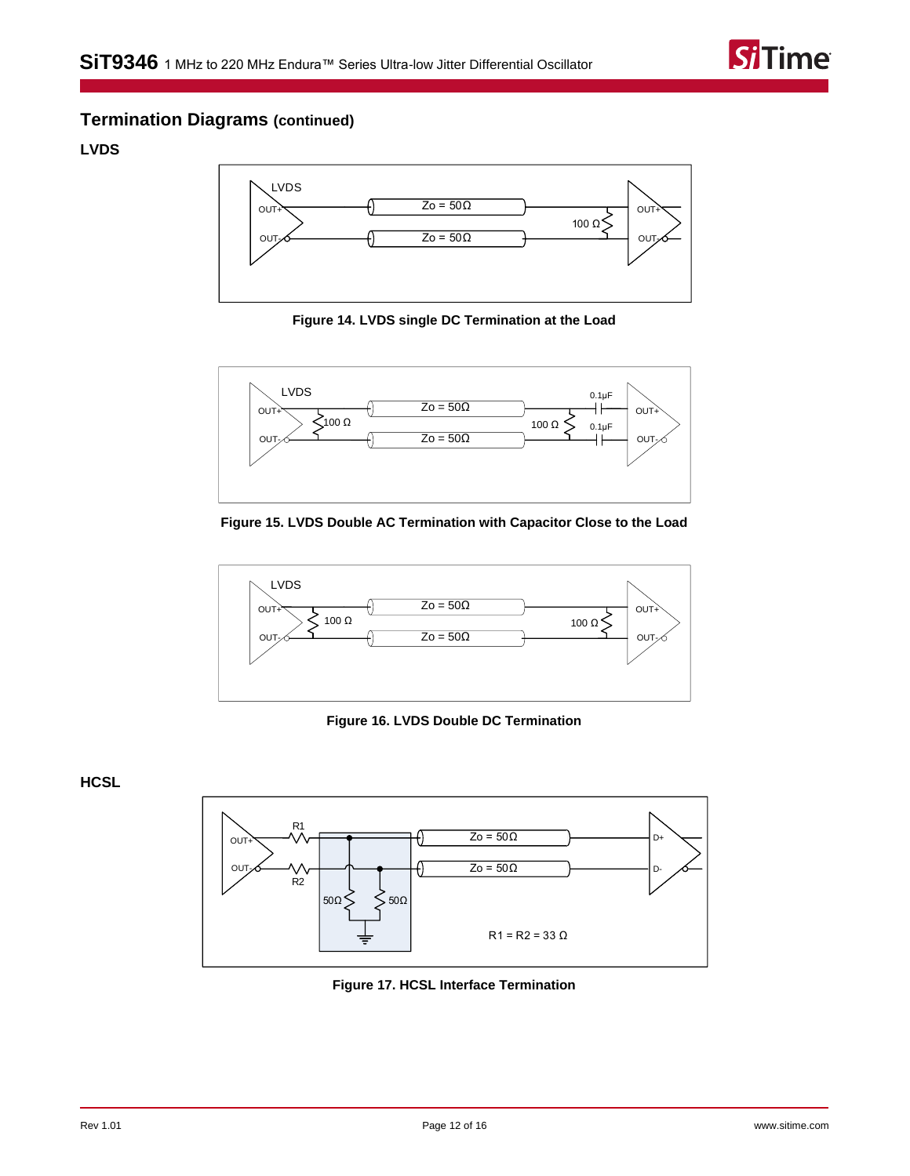

### **Termination Diagrams (continued)**

<span id="page-11-0"></span>**LVDS**



**Figure 14. LVDS single DC Termination at the Load**



**Figure 15. LVDS Double AC Termination with Capacitor Close to the Load**



**Figure 16. LVDS Double DC Termination**

<span id="page-11-1"></span>**HCSL**



**Figure 17. HCSL Interface Termination**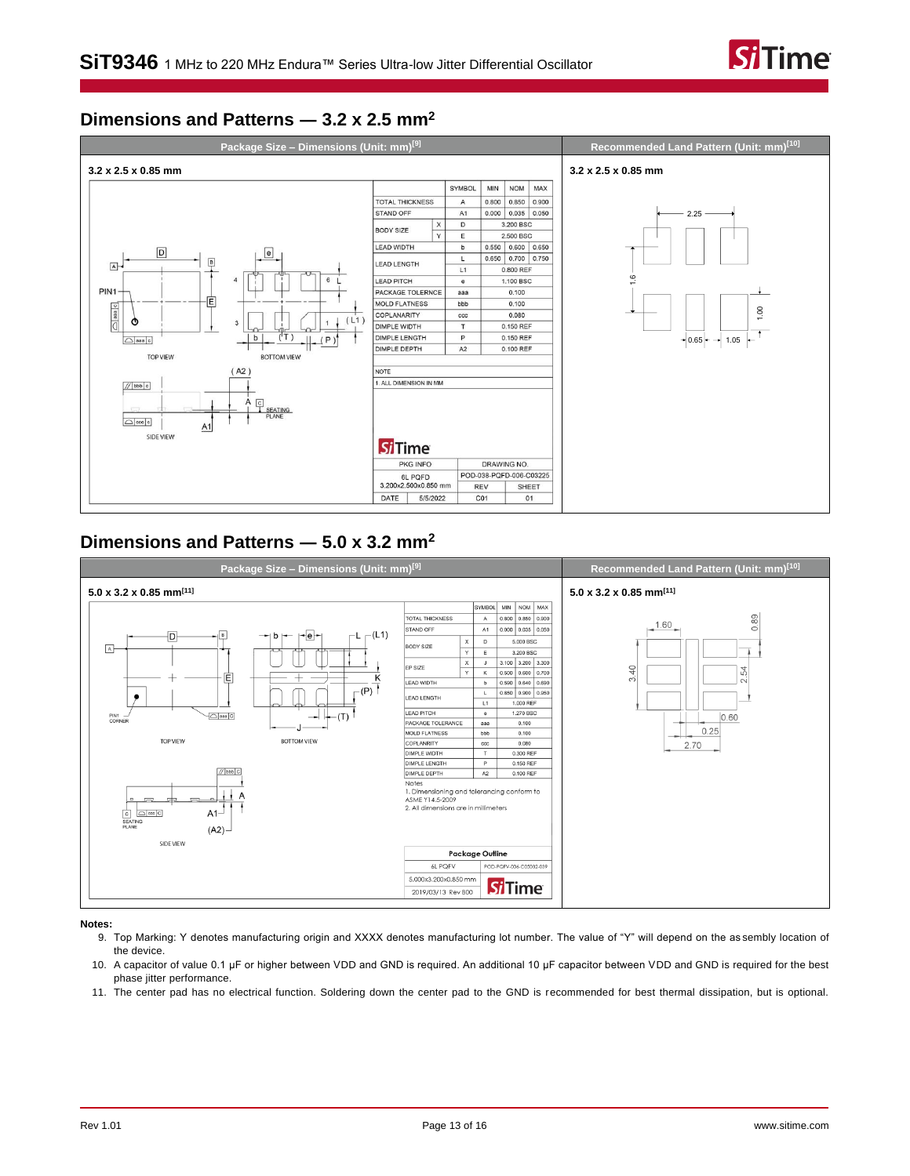

### <span id="page-12-0"></span>**Dimensions and Patterns ― 3.2 x 2.5 mm<sup>2</sup>**



### <span id="page-12-1"></span>**Dimensions and Patterns ― 5.0 x 3.2 mm<sup>2</sup>**



#### <span id="page-12-2"></span>**Notes:**

- 9. Top Marking: Y denotes manufacturing origin and XXXX denotes manufacturing lot number. The value of "Y" will depend on the as sembly location of the device.
- <span id="page-12-3"></span>10. A capacitor of value 0.1 µF or higher between VDD and GND is required. An additional 10 µF capacitor between VDD and GND is required for the best phase jitter performance.
- <span id="page-12-4"></span>11. The center pad has no electrical function. Soldering down the center pad to the GND is recommended for best thermal dissipation, but is optional.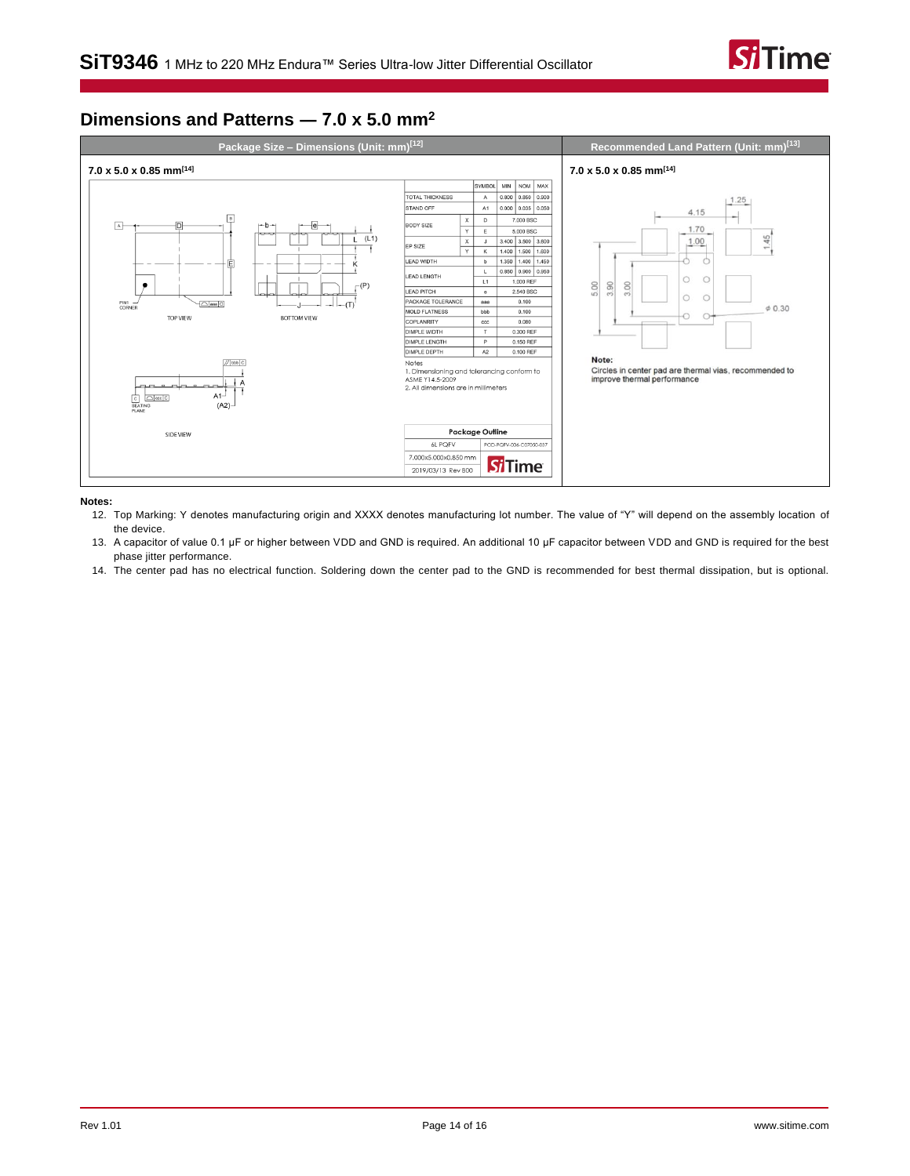

### <span id="page-13-0"></span>**Dimensions and Patterns ― 7.0 x 5.0 mm<sup>2</sup>**



#### <span id="page-13-1"></span>**Notes:**

12. Top Marking: Y denotes manufacturing origin and XXXX denotes manufacturing lot number. The value of "Y" will depend on the assembly location of the device.

<span id="page-13-2"></span>13. A capacitor of value 0.1 µF or higher between VDD and GND is required. An additional 10 µF capacitor between VDD and GND is required for the best phase jitter performance.

<span id="page-13-3"></span>14. The center pad has no electrical function. Soldering down the center pad to the GND is recommended for best thermal dissipation, but is optional.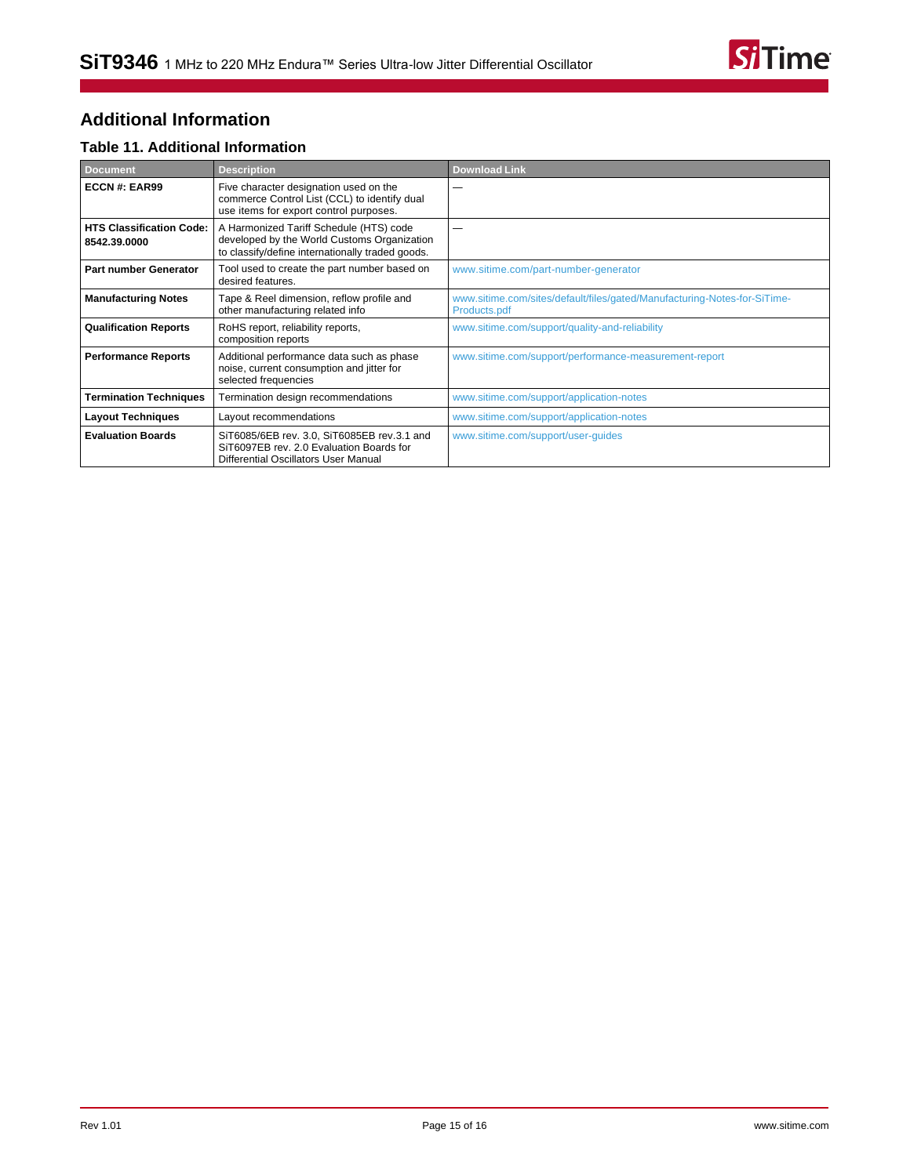

# <span id="page-14-0"></span>**Additional Information**

### **Table 11. Additional Information**

| <b>Document</b>                                 | <b>Description</b>                                                                                                                         | <b>Download Link</b>                                                                     |
|-------------------------------------------------|--------------------------------------------------------------------------------------------------------------------------------------------|------------------------------------------------------------------------------------------|
| ECCN#: EAR99                                    | Five character designation used on the<br>commerce Control List (CCL) to identify dual<br>use items for export control purposes.           |                                                                                          |
| <b>HTS Classification Code:</b><br>8542.39.0000 | A Harmonized Tariff Schedule (HTS) code<br>developed by the World Customs Organization<br>to classify/define internationally traded goods. |                                                                                          |
| <b>Part number Generator</b>                    | Tool used to create the part number based on<br>desired features.                                                                          | www.sitime.com/part-number-generator                                                     |
| <b>Manufacturing Notes</b>                      | Tape & Reel dimension, reflow profile and<br>other manufacturing related info                                                              | www.sitime.com/sites/default/files/gated/Manufacturing-Notes-for-SiTime-<br>Products.pdf |
| <b>Qualification Reports</b>                    | RoHS report, reliability reports,<br>composition reports                                                                                   | www.sitime.com/support/quality-and-reliability                                           |
| <b>Performance Reports</b>                      | Additional performance data such as phase<br>noise, current consumption and jitter for<br>selected frequencies                             | www.sitime.com/support/performance-measurement-report                                    |
| <b>Termination Techniques</b>                   | Termination design recommendations                                                                                                         | www.sitime.com/support/application-notes                                                 |
| <b>Layout Techniques</b>                        | Layout recommendations                                                                                                                     | www.sitime.com/support/application-notes                                                 |
| <b>Evaluation Boards</b>                        | SiT6085/6EB rev. 3.0, SiT6085EB rev.3.1 and<br>SiT6097EB rev. 2.0 Evaluation Boards for<br>Differential Oscillators User Manual            | www.sitime.com/support/user-guides                                                       |